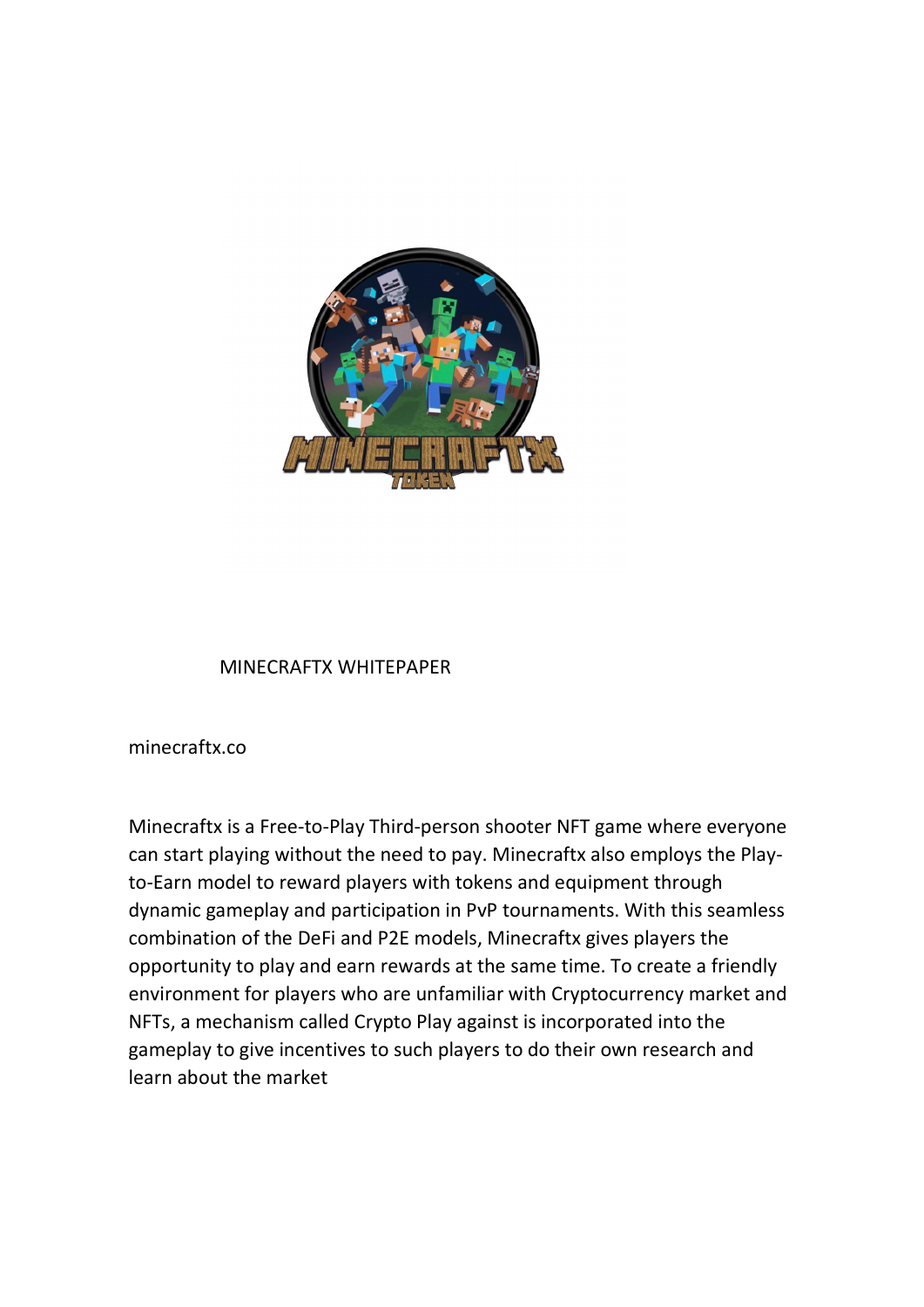

## MINECRAFTX WHITEPAPER

minecraftx.co

Minecraftx is a Free-to-Play Third-person shooter NFT game where everyone can start playing without the need to pay. Minecraftx also employs the Playto-Earn model to reward players with tokens and equipment through dynamic gameplay and participation in PvP tournaments. With this seamless combination of the DeFi and P2E models, Minecraftx gives players the opportunity to play and earn rewards at the same time. To create a friendly environment for players who are unfamiliar with Cryptocurrency market and NFTs, a mechanism called Crypto Play against is incorporated into the gameplay to give incentives to such players to do their own research and learn about the market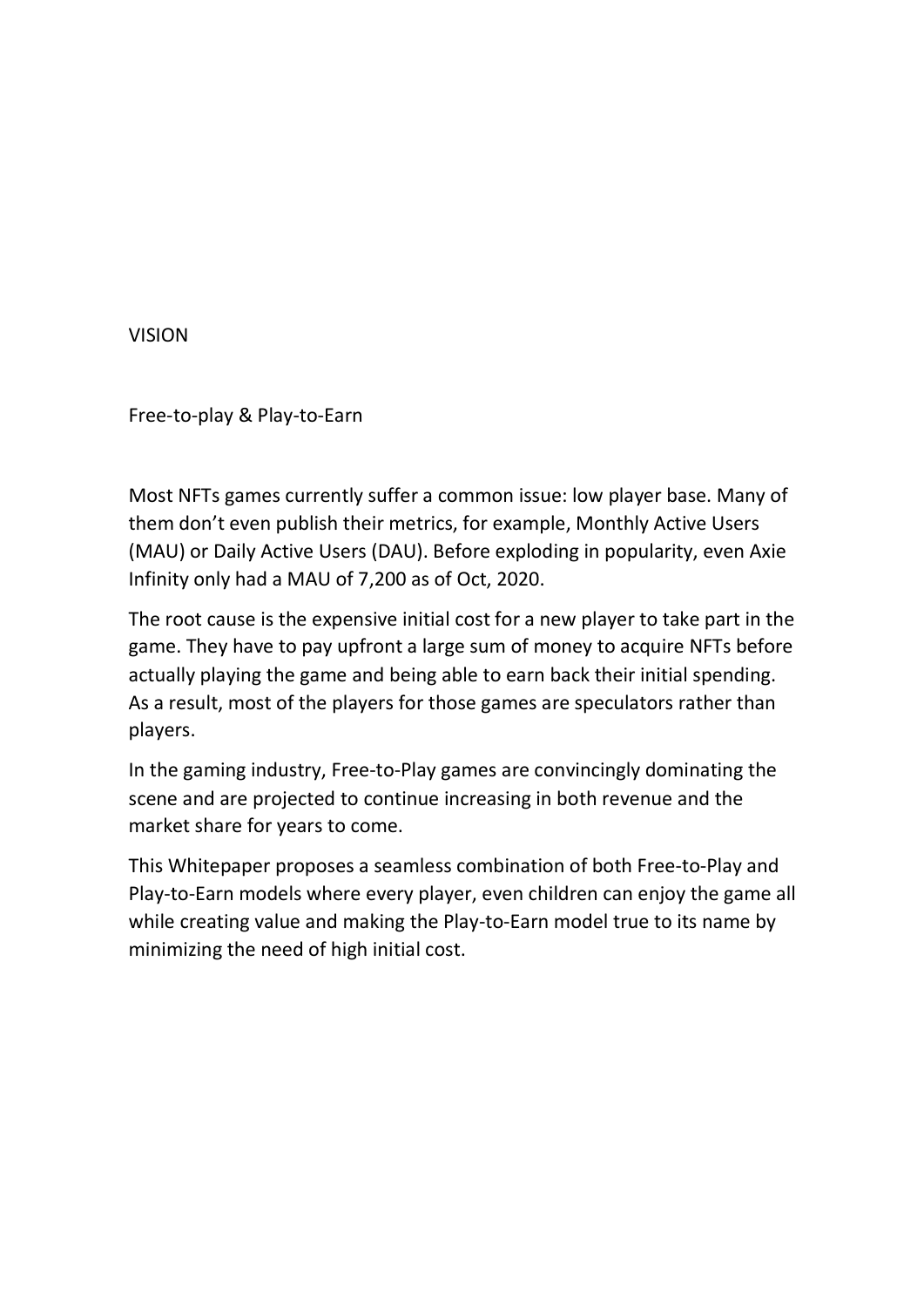VISION

Free-to-play & Play-to-Earn

Most NFTs games currently suffer a common issue: low player base. Many of them don't even publish their metrics, for example, Monthly Active Users (MAU) or Daily Active Users (DAU). Before exploding in popularity, even Axie Infinity only had a MAU of 7,200 as of Oct, 2020.

The root cause is the expensive initial cost for a new player to take part in the game. They have to pay upfront a large sum of money to acquire NFTs before actually playing the game and being able to earn back their initial spending. As a result, most of the players for those games are speculators rather than players.

In the gaming industry, Free-to-Play games are convincingly dominating the scene and are projected to continue increasing in both revenue and the market share for years to come.

This Whitepaper proposes a seamless combination of both Free-to-Play and Play-to-Earn models where every player, even children can enjoy the game all while creating value and making the Play-to-Earn model true to its name by minimizing the need of high initial cost.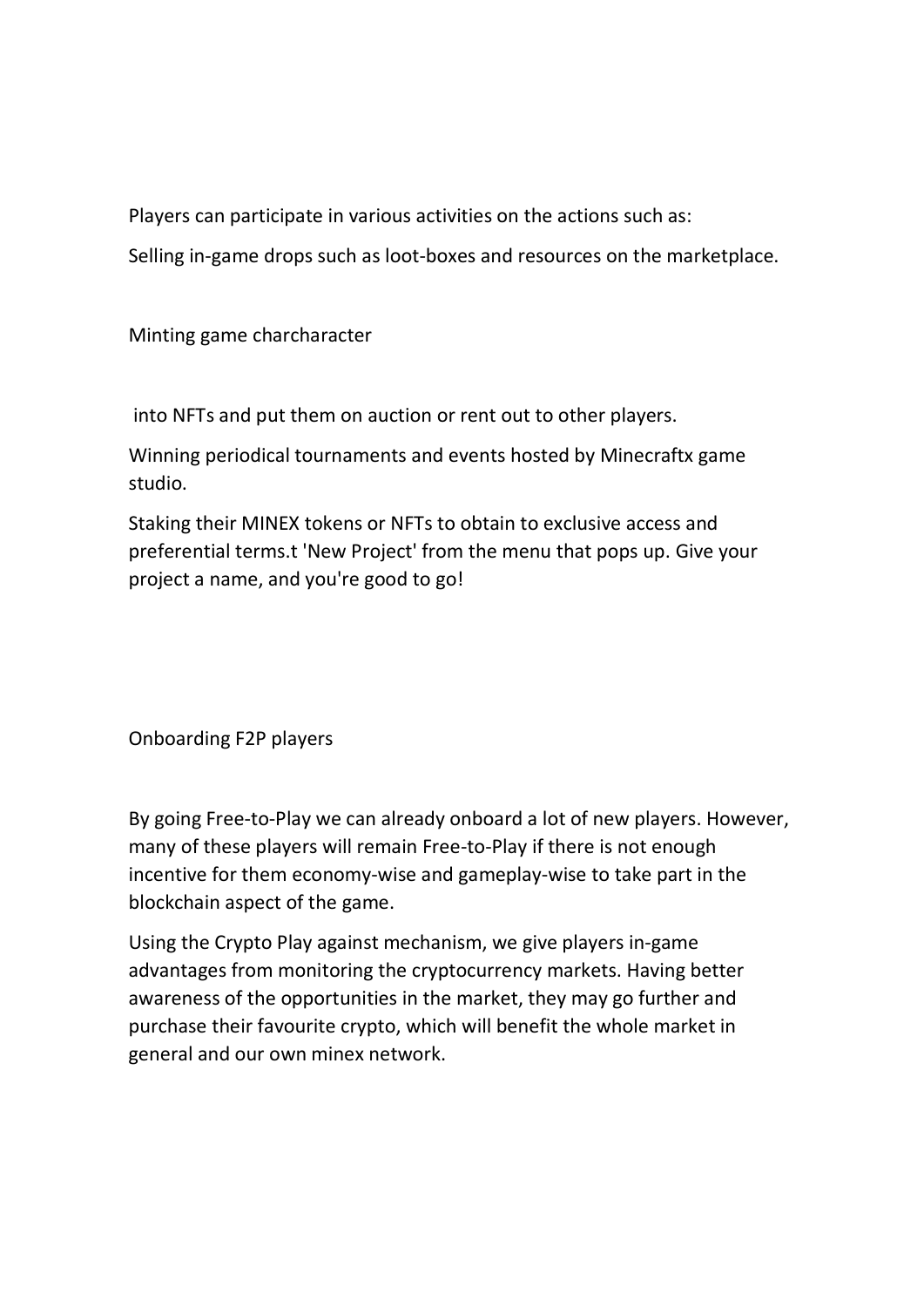Players can participate in various activities on the actions such as:

Selling in-game drops such as loot-boxes and resources on the marketplace.

Minting game charcharacter

into NFTs and put them on auction or rent out to other players.

Winning periodical tournaments and events hosted by Minecraftx game studio.

Staking their MINEX tokens or NFTs to obtain to exclusive access and preferential terms.t 'New Project' from the menu that pops up. Give your project a name, and you're good to go!

Onboarding F2P players

By going Free-to-Play we can already onboard a lot of new players. However, many of these players will remain Free-to-Play if there is not enough incentive for them economy-wise and gameplay-wise to take part in the blockchain aspect of the game.

Using the Crypto Play against mechanism, we give players in-game advantages from monitoring the cryptocurrency markets. Having better awareness of the opportunities in the market, they may go further and purchase their favourite crypto, which will benefit the whole market in general and our own minex network.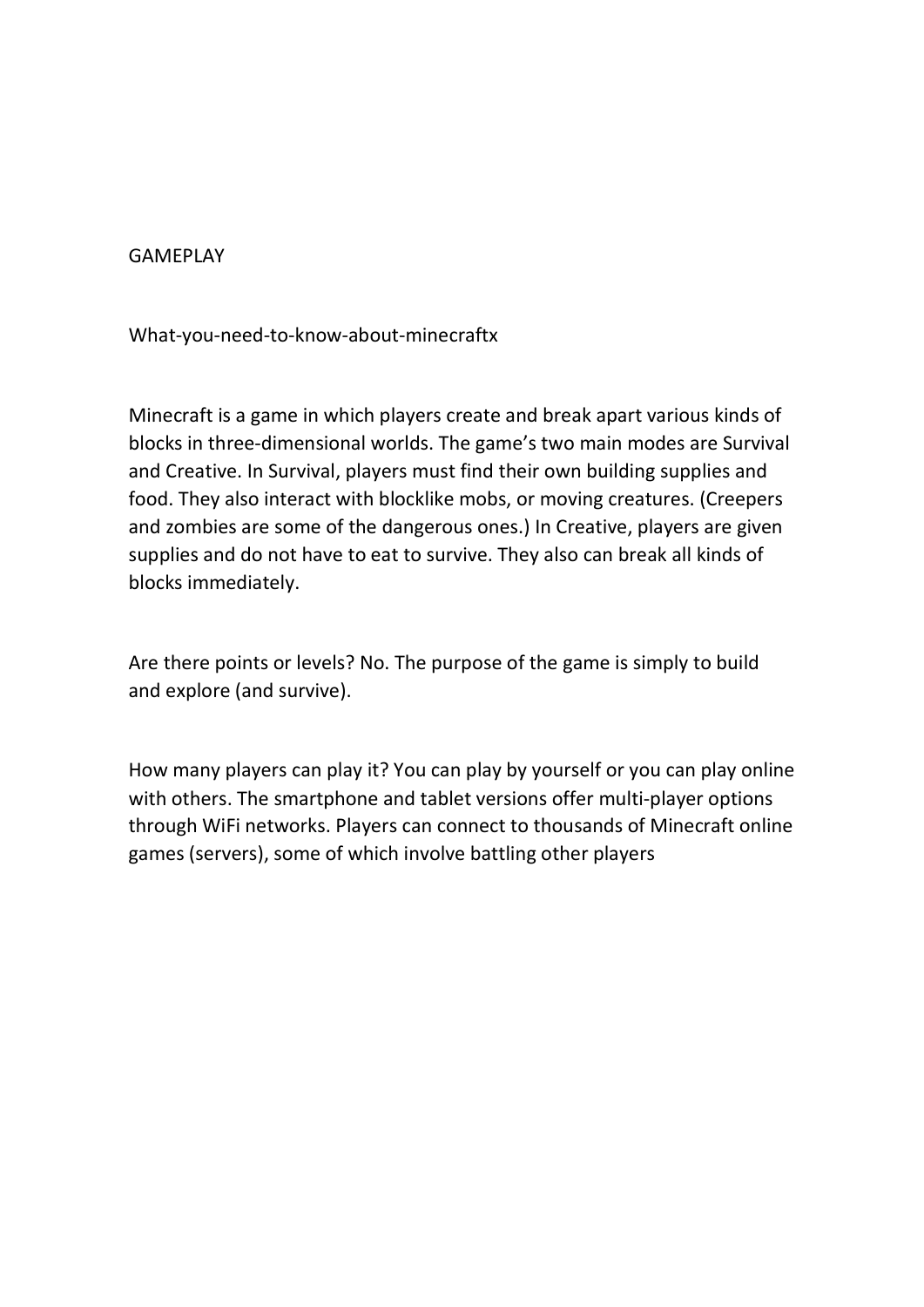## GAMEPLAY

What-you-need-to-know-about-minecraftx

Minecraft is a game in which players create and break apart various kinds of blocks in three-dimensional worlds. The game's two main modes are Survival and Creative. In Survival, players must find their own building supplies and food. They also interact with blocklike mobs, or moving creatures. (Creepers and zombies are some of the dangerous ones.) In Creative, players are given supplies and do not have to eat to survive. They also can break all kinds of blocks immediately.

Are there points or levels? No. The purpose of the game is simply to build and explore (and survive).

How many players can play it? You can play by yourself or you can play online with others. The smartphone and tablet versions offer multi-player options through WiFi networks. Players can connect to thousands of Minecraft online games (servers), some of which involve battling other players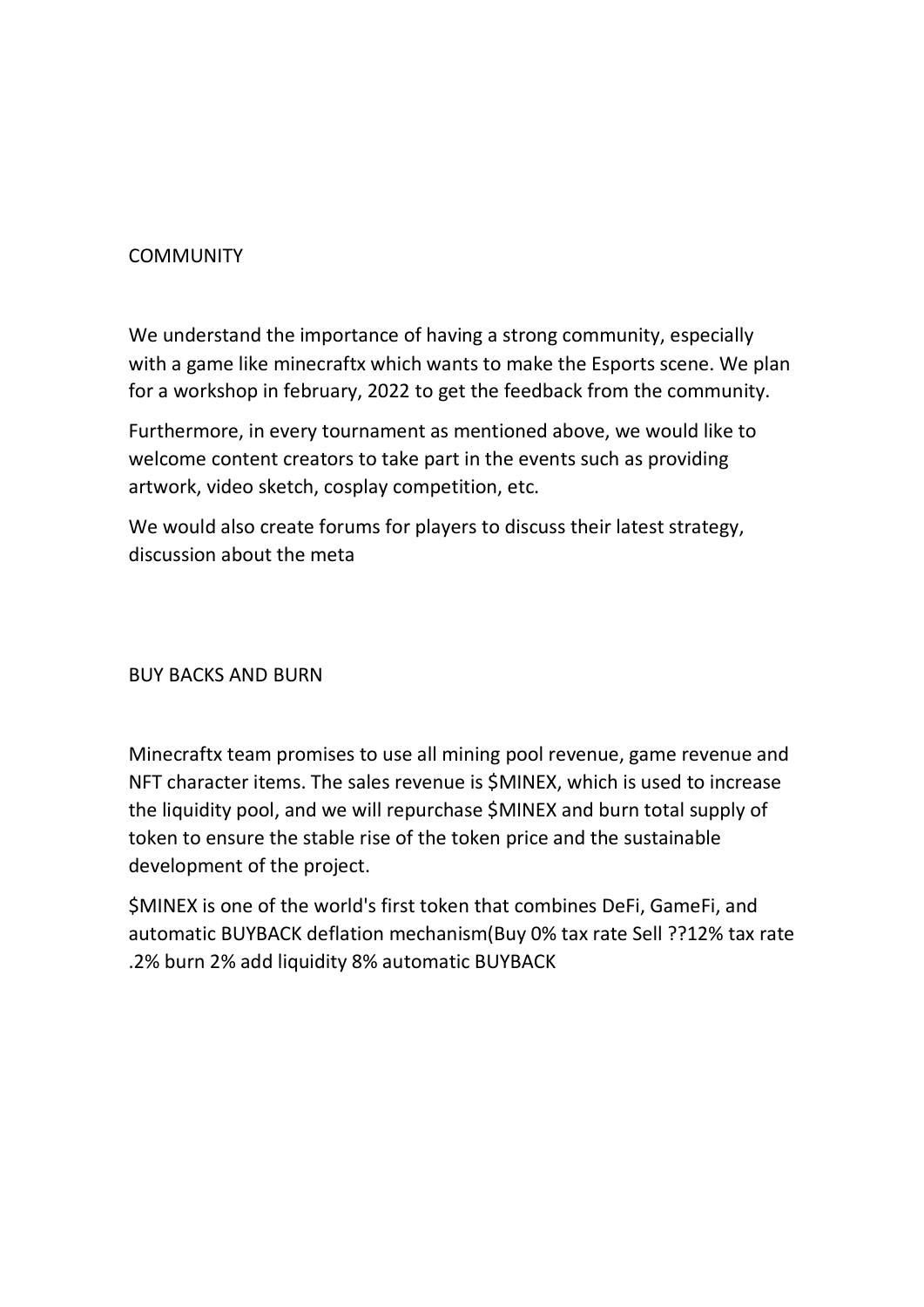## **COMMUNITY**

We understand the importance of having a strong community, especially with a game like minecraftx which wants to make the Esports scene. We plan for a workshop in february, 2022 to get the feedback from the community.

Furthermore, in every tournament as mentioned above, we would like to welcome content creators to take part in the events such as providing artwork, video sketch, cosplay competition, etc.

We would also create forums for players to discuss their latest strategy, discussion about the meta

## BUY BACKS AND BURN

Minecraftx team promises to use all mining pool revenue, game revenue and NFT character items. The sales revenue is \$MINEX, which is used to increase the liquidity pool, and we will repurchase \$MINEX and burn total supply of token to ensure the stable rise of the token price and the sustainable development of the project.

\$MINEX is one of the world's first token that combines DeFi, GameFi, and automatic BUYBACK deflation mechanism(Buy 0% tax rate Sell ??12% tax rate .2% burn 2% add liquidity 8% automatic BUYBACK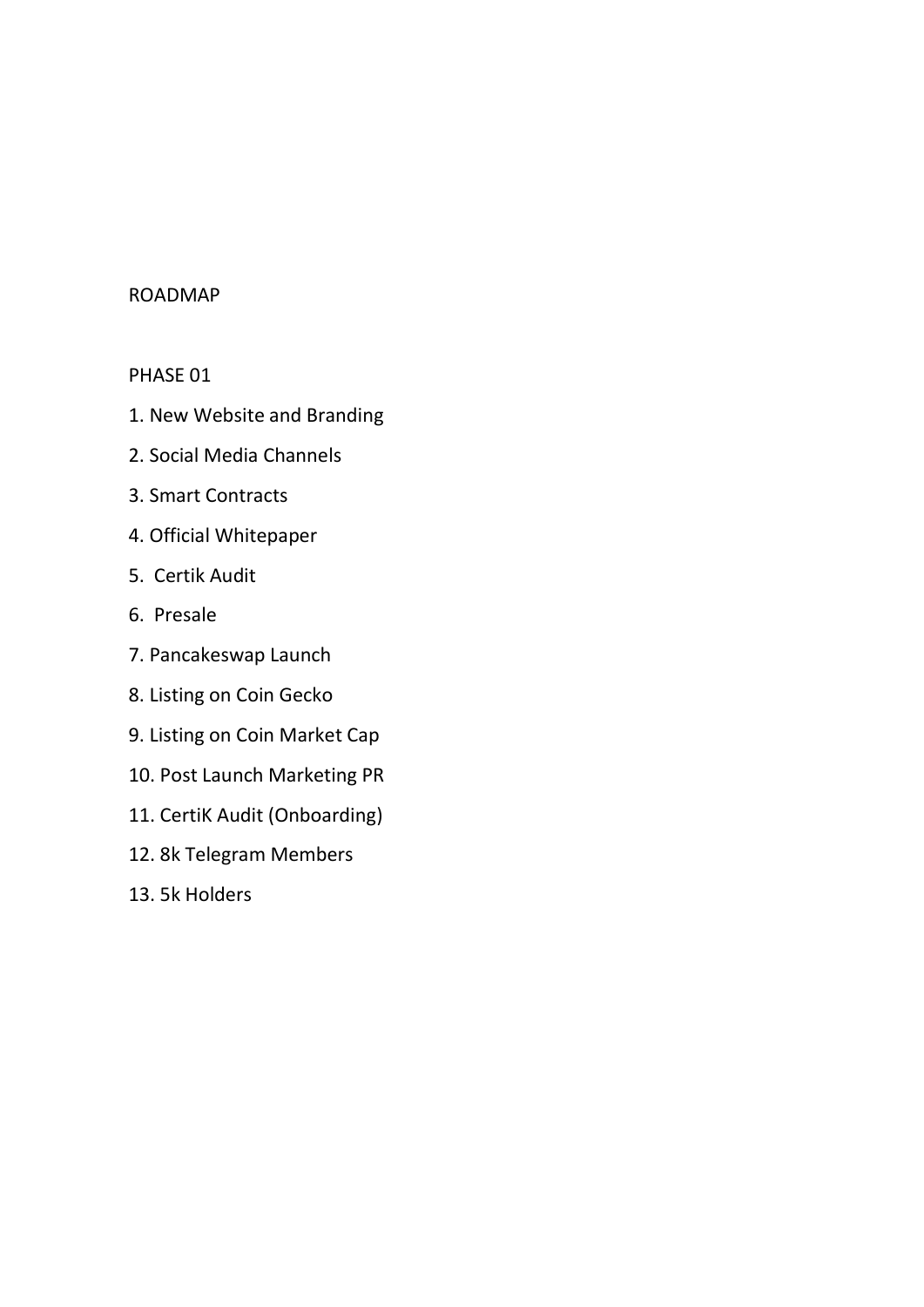#### ROADMAP

## PHASE 01

- 1. New Website and Branding
- 2. Social Media Channels
- 3. Smart Contracts
- 4. Official Whitepaper
- 5. Certik Audit
- 6. Presale
- 7. Pancakeswap Launch
- 8. Listing on Coin Gecko
- 9. Listing on Coin Market Cap
- 10. Post Launch Marketing PR
- 11. CertiK Audit (Onboarding)
- 12. 8k Telegram Members
- 13. 5k Holders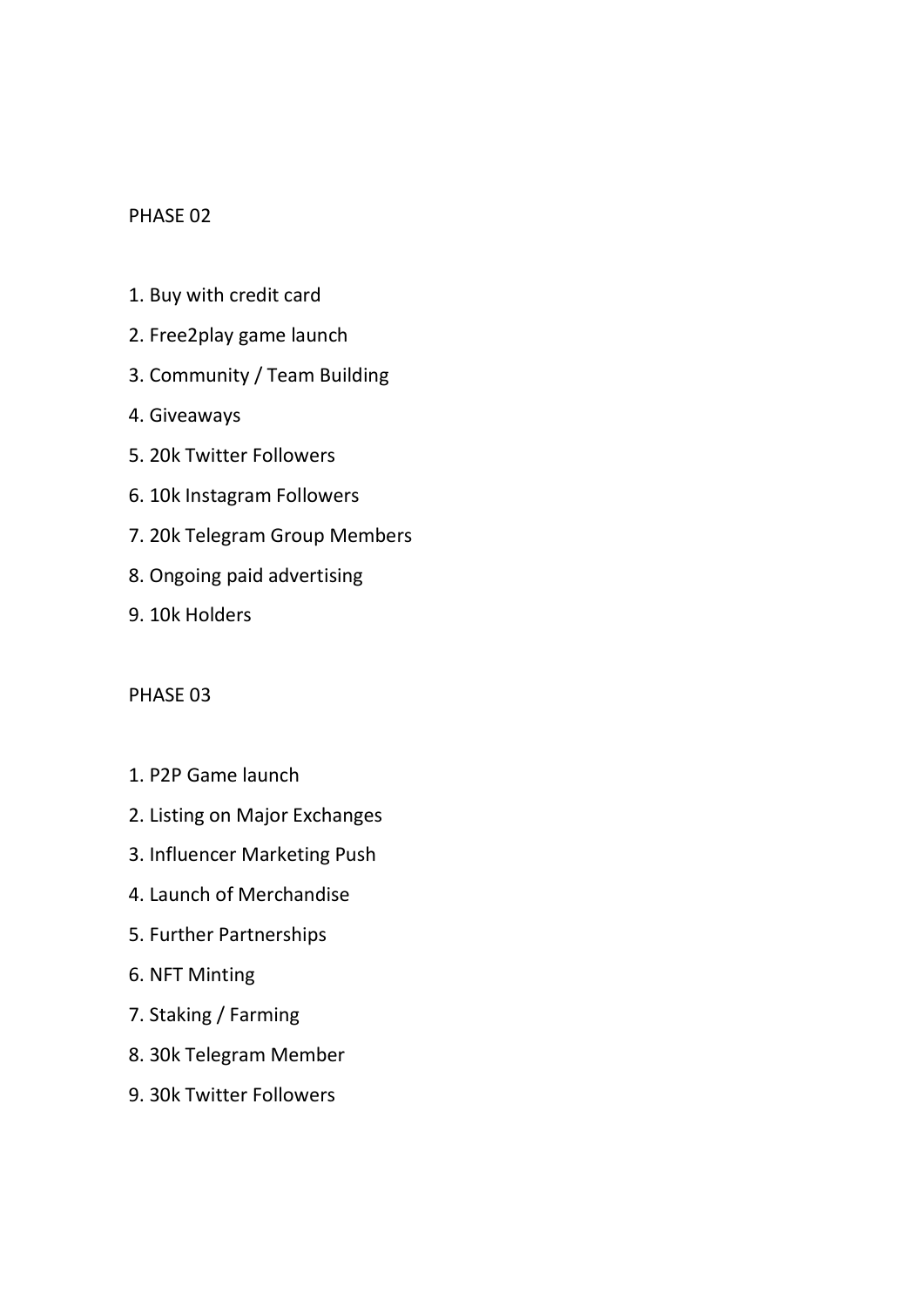### PHASE 02

- 1. Buy with credit card
- 2. Free2play game launch
- 3. Community / Team Building
- 4. Giveaways
- 5. 20k Twitter Followers
- 6. 10k Instagram Followers
- 7. 20k Telegram Group Members
- 8. Ongoing paid advertising
- 9. 10k Holders

#### PHASE 03

- 1. P2P Game launch
- 2. Listing on Major Exchanges
- 3. Influencer Marketing Push
- 4. Launch of Merchandise
- 5. Further Partnerships
- 6. NFT Minting
- 7. Staking / Farming
- 8. 30k Telegram Member
- 9. 30k Twitter Followers